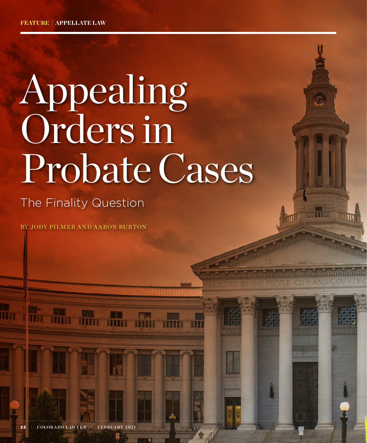# Appealing Orders in Probate Cases

TED BY THE PEOPLE CITY AN

### The Finality Question

BY JODY PILMER AND A ARON BURTON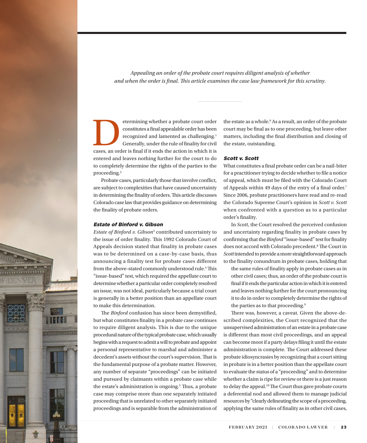*Appealing an order of the probate court requires diligent analysis of whether and when the order is final. This article examines the case law framework for this scrutiny.*

etermining whether a probate court order<br>
constitutes a final appealable order has been<br>
recognized and lamented as challenging.<sup>1</sup><br>
Generally, under the rule of finality for civil<br>
cases, an order is final if it ends the constitutes a final appealable order has been recognized and lamented as challenging.<sup>1</sup> Generally, under the rule of finality for civil entered and leaves nothing further for the court to do to completely determine the rights of the parties to the proceeding.2

Probate cases, particularly those that involve conflict, are subject to complexities that have caused uncertainty in determining the finality of orders. This article discusses Colorado case law that provides guidance on determining the finality of probate orders.

#### Estate of Binford v. Gibson

*Estate of Binford v. Gibson*3 contributed uncertainty to the issue of order finality. This 1992 Colorado Court of Appeals decision stated that finality in probate cases was to be determined on a case-by-case basis, thus announcing a finality test for probate cases different from the above-stated commonly understood rule.<sup>4</sup> This "issue-based" test, which required the appellate court to determine whether a particular order completely resolved an issue, was not ideal, particularly because a trial court is generally in a better position than an appellate court to make this determination.

The *Binford* confusion has since been demystified, but what constitutes finality in a probate case continues to require diligent analysis. This is due to the unique procedural nature of the typical probate case, which usually begins with a request to admit a will to probate and appoint a personal representative to marshal and administer a decedent's assets without the court's supervision. That is the fundamental purpose of a probate matter. However, any number of separate "proceedings" can be initiated and pursued by claimants within a probate case while the estate's administration is ongoing.<sup>5</sup> Thus, a probate case may comprise more than one separately initiated proceeding that is unrelated to other separately initiated proceedings and is separable from the administration of

the estate as a whole.<sup>6</sup> As a result, an order of the probate court may be final as to one proceeding, but leave other matters, including the final distribution and closing of the estate, outstanding.

#### Scott v. Scott

What constitutes a final probate order can be a nail-biter for a practitioner trying to decide whether to file a notice of appeal, which must be filed with the Colorado Court of Appeals within 49 days of the entry of a final order.7 Since 2006, probate practitioners have read and re-read the Colorado Supreme Court's opinion in *Scott v. Scott* when confronted with a question as to a particular order's finality.

In *Scott*, the Court resolved the perceived confusion and uncertainty regarding finality in probate cases by confirming that the *Binford* "issue-based" test for finality does not accord with Colorado precedent.<sup>8</sup> The Court in *Scott* intended to provide a more straightforward approach to the finality conundrum in probate cases, holding that

the same rules of finality apply in probate cases as in other civil cases; thus, an order of the probate court is final if it ends the particular action in which it is entered and leaves nothing further for the court pronouncing it to do in order to completely determine the rights of the parties as to that proceeding.9

There was, however, a caveat. Given the above-described complexities, the Court recognized that the unsupervised administration of an estate in a probate case is different than most civil proceedings, and an appeal can become moot if a party delays filing it until the estate administration is complete. The Court addressed these probate idiosyncrasies by recognizing that a court sitting in probate is in a better position than the appellate court to evaluate the status of a "proceeding" and to determine whether a claim is ripe for review or there is a just reason to delay the appeal.<sup>10</sup> The Court thus gave probate courts a deferential nod and allowed them to manage judicial resources by "clearly delineating the scope of a proceeding, applying the same rules of finality as in other civil cases,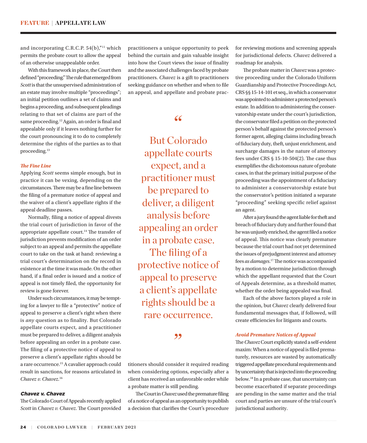and incorporating C.R.C.P.  $54(b)$ ,"<sup>11</sup> which permits the probate court to allow the appeal of an otherwise unappealable order.

With this framework in place, the Court then defined "proceeding." The rule that emerged from *Scott* is that the unsupervised administration of an estate may involve multiple "proceedings"; an initial petition outlines a set of claims and begins a proceeding, and subsequent pleadings relating to that set of claims are part of the same proceeding.<sup>12</sup> Again, an order is final and appealable only if it leaves nothing further for the court pronouncing it to do to completely determine the rights of the parties as to that proceeding.13

#### *The Fine Line*

Applying *Scott* seems simple enough, but in practice it can be vexing, depending on the circumstances. There may be a fine line between the filing of a premature notice of appeal and the waiver of a client's appellate rights if the appeal deadline passes.

Normally, filing a notice of appeal divests the trial court of jurisdiction in favor of the appropriate appellate court.14 The transfer of jurisdiction prevents modification of an order subject to an appeal and permits the appellate court to take on the task at hand: reviewing a trial court's determination on the record in existence at the time it was made. On the other hand, if a final order is issued and a notice of appeal is not timely filed, the opportunity for review is gone forever.

Under such circumstances, it may be tempting for a lawyer to file a "protective" notice of appeal to preserve a client's right when there is *any* question as to finality. But Colorado appellate courts expect, and a practitioner must be prepared to deliver, a diligent analysis before appealing an order in a probate case. The filing of a protective notice of appeal to preserve a client's appellate rights should be a rare occurrence.15 A cavalier approach could result in sanctions, for reasons articulated in *Chavez v. Chavez*. 16

#### Chavez v. Chavez

The Colorado Court of Appeals recently applied *Scott* in *Chavez v. Chavez*. The Court provided

practitioners a unique opportunity to peek behind the curtain and gain valuable insight into how the Court views the issue of finality and the associated challenges faced by probate practitioners. *Chavez* is a gift to practitioners seeking guidance on whether and when to file an appeal, and appellate and probate prac-

#### "

But Colorado appellate courts expect, and a practitioner must be prepared to deliver, a diligent analysis before appealing an order in a probate case. The filing of a protective notice of appeal to preserve a client's appellate rights should be a rare occurrence.

#### ,,

titioners should consider it required reading when considering options, especially after a client has received an unfavorable order while a probate matter is still pending.

The Court in *Chavez* used the premature filing of a notice of appeal as an opportunity to publish a decision that clarifies the Court's procedure for reviewing motions and screening appeals for jurisdictional defects. *Chavez* delivered a roadmap for analysis.

The probate matter in *Chavez* was a protective proceeding under the Colorado Uniform Guardianship and Protective Proceedings Act, CRS §§ 15-14-101 et seq., in which a conservator was appointed to administer a protected person's estate. In addition to administering the conservatorship estate under the court's jurisdiction, the conservator filed a petition on the protected person's behalf against the protected person's former agent, alleging claims including breach of fiduciary duty, theft, unjust enrichment, and surcharge damages in the nature of attorney fees under CRS § 15-10-504(2). The case thus exemplifies the dichotomous nature of probate cases, in that the primary initial purpose of the proceeding was the appointment of a fiduciary to administer a conservatorship estate but the conservator's petition initiated a separate "proceeding" seeking specific relief against an agent.

After a jury found the agent liable for theft and breach of fiduciary duty and further found that he was unjustly enriched, the agent filed a notice of appeal. This notice was clearly premature because the trial court had not yet determined the issues of prejudgment interest and attorney fees *as damages*. 17 The notice was accompanied by a motion to determine jurisdiction through which the appellant requested that the Court of Appeals determine, as a threshold matter, whether the order being appealed was final.

Each of the above factors played a role in the opinion, but *Chavez* clearly delivered four fundamental messages that, if followed, will create efficiencies for litigants and courts.

#### *Avoid Premature Notices of Appeal*

The *Chavez* Court explicitly stated a self-evident maxim: When a notice of appeal is filed prematurely, resources are wasted by automatically triggered appellate procedural requirements and by uncertainty that is injected into the proceeding below.18 In a probate case, that uncertainty can become exacerbated if separate proceedings are pending in the same matter and the trial court and parties are unsure of the trial court's jurisdictional authority.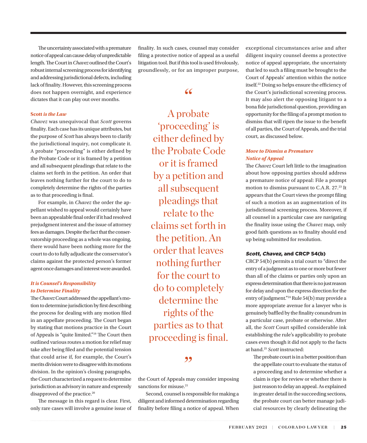The uncertainty associated with a premature notice of appeal can cause delay of unpredictable length. The Court in *Chavez* outlined the Court's robust internal screening process for identifying and addressing jurisdictional defects, including lack of finality. However, this screening process does not happen overnight, and experience dictates that it can play out over months.

#### **Scott** *is the Law*

*Chavez* was unequivocal that *Scott* governs finality. Each case has its unique attributes, but the purpose of *Scott* has always been to clarify the jurisdictional inquiry, not complicate it. A probate "proceeding" is either defined by the Probate Code or it is framed by a petition and all subsequent pleadings that relate to the claims set forth in the petition. An order that leaves nothing further for the court to do to completely determine the rights of the parties as to that proceeding is final.

For example, in *Chavez* the order the appellant wished to appeal would certainly have been an appealable final order if it had resolved prejudgment interest and the issue of attorney fees as damages. Despite the fact that the conservatorship proceeding as a whole was ongoing, there would have been nothing more for the court to do to fully adjudicate the conservator's claims against the protected person's former agent once damages and interest were awarded.

#### *It is Counsel's Responsibility to Determine Finality*

The *Chavez* Court addressed the appellant's motion to determine jurisdiction by first describing the process for dealing with any motion filed in an appellate proceeding. The Court began by stating that motions practice in the Court of Appeals is "quite limited."19 The Court then outlined various routes a motion for relief may take after being filed and the potential tension that could arise if, for example, the Court's merits division were to disagree with its motions division. In the opinion's closing paragraphs, the Court characterized a request to determine jurisdiction as advisory in nature and expressly disapproved of the practice.<sup>20</sup>

The message in this regard is clear. First, only rare cases will involve a genuine issue of finality. In such cases, counsel may consider filing a protective notice of appeal as a useful litigation tool. But if this tool is used frivolously, groundlessly, or for an improper purpose,

 $66$ 

A probate 'proceeding' is either defined by the Probate Code or it is framed by a petition and all subsequent pleadings that relate to the claims set forth in the petition. An order that leaves nothing further for the court to do to completely determine the rights of the parties as to that proceeding is final.

#### ,,

the Court of Appeals may consider imposing sanctions for misuse.<sup>21</sup>

Second, counsel is responsible for making a diligent and informed determination regarding finality before filing a notice of appeal. When exceptional circumstances arise and after diligent inquiry counsel deems a protective notice of appeal appropriate, the uncertainty that led to such a filing must be brought to the Court of Appeals' attention within the notice itself.22 Doing so helps ensure the efficiency of the Court's jurisdictional screening process. It may also alert the opposing litigant to a bona fide jurisdictional question, providing an opportunity for the filing of a prompt motion to dismiss that will ripen the issue to the benefit of all parties, the Court of Appeals, and the trial court, as discussed below.

#### *Move to Dismiss a Premature Notice of Appeal*

The *Chavez* Court left little to the imagination about how opposing parties should address a premature notice of appeal: File a prompt motion to dismiss pursuant to C.A.R. 27.23 It appears that the Court views the prompt filing of such a motion as an augmentation of its jurisdictional screening process. Moreover, if all counsel in a particular case are navigating the finality issue using the *Chavez* map, only good faith questions as to finality should end up being submitted for resolution.

#### Scott, Chavez, and CRCP 54(b)

CRCP 54(b) permits a trial court to "direct the entry of a judgment as to one or more but fewer than all of the claims or parties only upon an express determination that there is no just reason for delay and upon the express direction for the entry of judgment."24 Rule 54(b) may provide a more appropriate avenue for a lawyer who is genuinely baffled by the finality conundrum in a particular case, probate or otherwise. After all, the *Scott* Court spilled considerable ink establishing the rule's applicability to probate cases even though it did not apply to the facts at hand.25 *Scott* instructed:

The probate court is in a better position than the appellate court to evaluate the status of a proceeding and to determine whether a claim is ripe for review or whether there is just reason to delay an appeal. As explained in greater detail in the succeeding sections, the probate court can better manage judicial resources by clearly delineating the